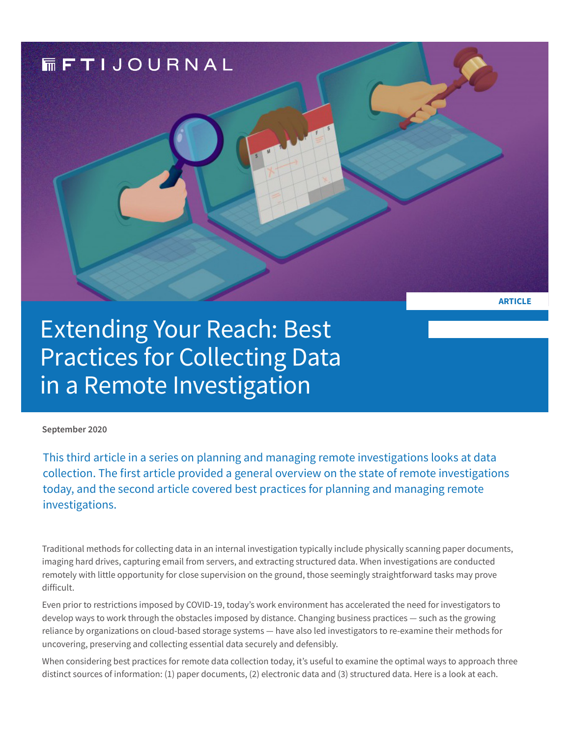

Extending Your Reach: Best Practices for Collecting Data in a Remote Investigation

**September 2020** 

This third article in a series on planning and managing remote investigations looks at data collection. The first article provided a general overview on the state of remote investigations today, and the second article covered best practices for planning and managing remote investigations.

Traditional methods for collecting data in an internal investigation typically include physically scanning paper documents, imaging hard drives, capturing email from servers, and extracting structured data. When investigations are conducted remotely with little opportunity for close supervision on the ground, those seemingly straightforward tasks may prove difficult.

Even prior to restrictions imposed by COVID-19, today's work environment has accelerated the need for investigators to develop ways to work through the obstacles imposed by distance. Changing business practices — such as the growing reliance by organizations on cloud-based storage systems — have also led investigators to re-examine their methods for uncovering, preserving and collecting essential data securely and defensibly.

When considering best practices for remote data collection today, it's useful to examine the optimal ways to approach three distinct sources of information: (1) paper documents, (2) electronic data and (3) structured data. Here is a look at each.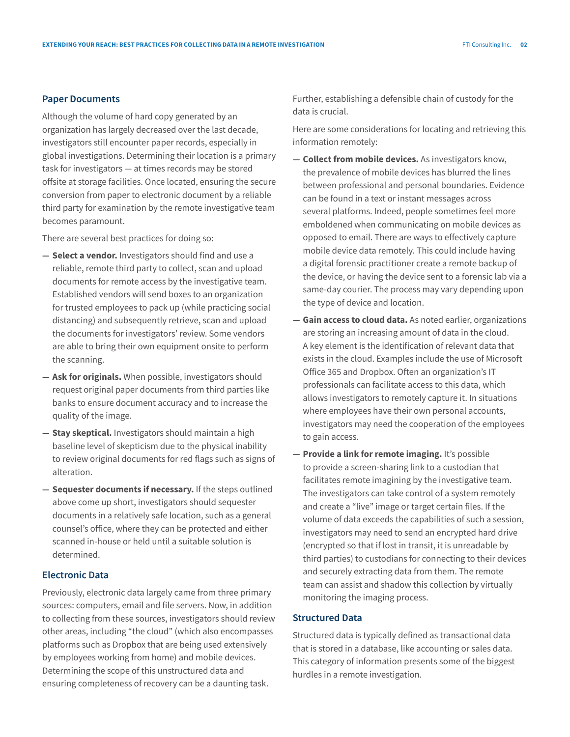## **Paper Documents**

Although the volume of hard copy generated by an organization has largely decreased over the last decade, investigators still encounter paper records, especially in global investigations. Determining their location is a primary task for investigators — at times records may be stored offsite at storage facilities. Once located, ensuring the secure conversion from paper to electronic document by a reliable third party for examination by the remote investigative team becomes paramount.

There are several best practices for doing so:

- **— Select a vendor.** Investigators should find and use a reliable, remote third party to collect, scan and upload documents for remote access by the investigative team. Established vendors will send boxes to an organization for trusted employees to pack up (while practicing social distancing) and subsequently retrieve, scan and upload the documents for investigators' review. Some vendors are able to bring their own equipment onsite to perform the scanning.
- **— Ask for originals.** When possible, investigators should request original paper documents from third parties like banks to ensure document accuracy and to increase the quality of the image.
- **— Stay skeptical.** Investigators should maintain a high baseline level of skepticism due to the physical inability to review original documents for red flags such as signs of alteration.
- **— Sequester documents if necessary.** If the steps outlined above come up short, investigators should sequester documents in a relatively safe location, such as a general counsel's office, where they can be protected and either scanned in-house or held until a suitable solution is determined.

## **Electronic Data**

Previously, electronic data largely came from three primary sources: computers, email and file servers. Now, in addition to collecting from these sources, investigators should review other areas, including "the cloud" (which also encompasses platforms such as Dropbox that are being used extensively by employees working from home) and mobile devices. Determining the scope of this unstructured data and ensuring completeness of recovery can be a daunting task.

Further, establishing a defensible chain of custody for the data is crucial.

Here are some considerations for locating and retrieving this information remotely:

- **— Collect from mobile devices.** As investigators know, the prevalence of mobile devices has blurred the lines between professional and personal boundaries. Evidence can be found in a text or instant messages across several platforms. Indeed, people sometimes feel more emboldened when communicating on mobile devices as opposed to email. There are ways to effectively capture mobile device data remotely. This could include having a digital forensic practitioner create a remote backup of the device, or having the device sent to a forensic lab via a same-day courier. The process may vary depending upon the type of device and location.
- **— Gain access to cloud data.** As noted earlier, organizations are storing an increasing amount of data in the cloud. A key element is the identification of relevant data that exists in the cloud. Examples include the use of Microsoft Office 365 and Dropbox. Often an organization's IT professionals can facilitate access to this data, which allows investigators to remotely capture it. In situations where employees have their own personal accounts, investigators may need the cooperation of the employees to gain access.
- **— Provide a link for remote imaging.** It's possible to provide a screen-sharing link to a custodian that facilitates remote imagining by the investigative team. The investigators can take control of a system remotely and create a "live" image or target certain files. If the volume of data exceeds the capabilities of such a session, investigators may need to send an encrypted hard drive (encrypted so that if lost in transit, it is unreadable by third parties) to custodians for connecting to their devices and securely extracting data from them. The remote team can assist and shadow this collection by virtually monitoring the imaging process.

## **Structured Data**

Structured data is typically defined as transactional data that is stored in a database, like accounting or sales data. This category of information presents some of the biggest hurdles in a remote investigation.